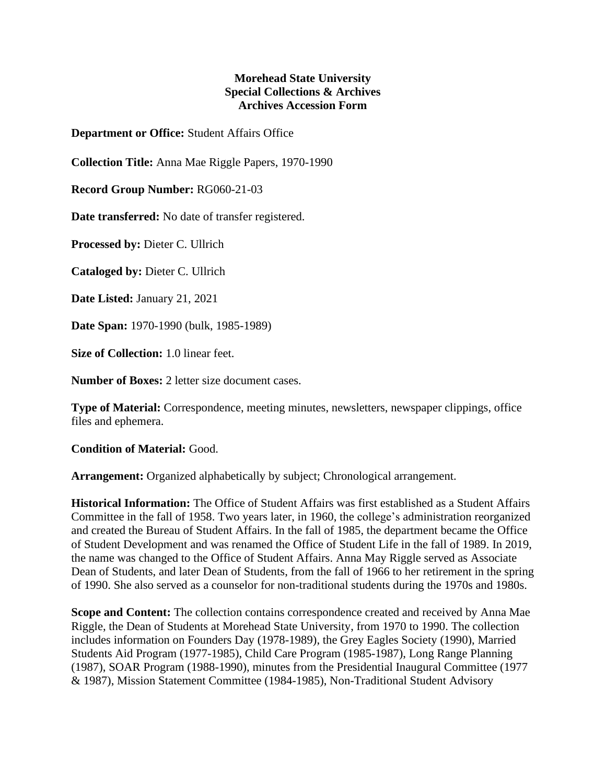## **Morehead State University Special Collections & Archives Archives Accession Form**

**Department or Office:** Student Affairs Office

**Collection Title:** Anna Mae Riggle Papers, 1970-1990

**Record Group Number:** RG060-21-03

**Date transferred:** No date of transfer registered.

**Processed by:** Dieter C. Ullrich

**Cataloged by:** Dieter C. Ullrich

**Date Listed:** January 21, 2021

**Date Span:** 1970-1990 (bulk, 1985-1989)

**Size of Collection:** 1.0 linear feet.

**Number of Boxes:** 2 letter size document cases.

**Type of Material:** Correspondence, meeting minutes, newsletters, newspaper clippings, office files and ephemera.

**Condition of Material:** Good.

**Arrangement:** Organized alphabetically by subject; Chronological arrangement.

**Historical Information:** The Office of Student Affairs was first established as a Student Affairs Committee in the fall of 1958. Two years later, in 1960, the college's administration reorganized and created the Bureau of Student Affairs. In the fall of 1985, the department became the Office of Student Development and was renamed the Office of Student Life in the fall of 1989. In 2019, the name was changed to the Office of Student Affairs. Anna May Riggle served as Associate Dean of Students, and later Dean of Students, from the fall of 1966 to her retirement in the spring of 1990. She also served as a counselor for non-traditional students during the 1970s and 1980s.

**Scope and Content:** The collection contains correspondence created and received by Anna Mae Riggle, the Dean of Students at Morehead State University, from 1970 to 1990. The collection includes information on Founders Day (1978-1989), the Grey Eagles Society (1990), Married Students Aid Program (1977-1985), Child Care Program (1985-1987), Long Range Planning (1987), SOAR Program (1988-1990), minutes from the Presidential Inaugural Committee (1977 & 1987), Mission Statement Committee (1984-1985), Non-Traditional Student Advisory